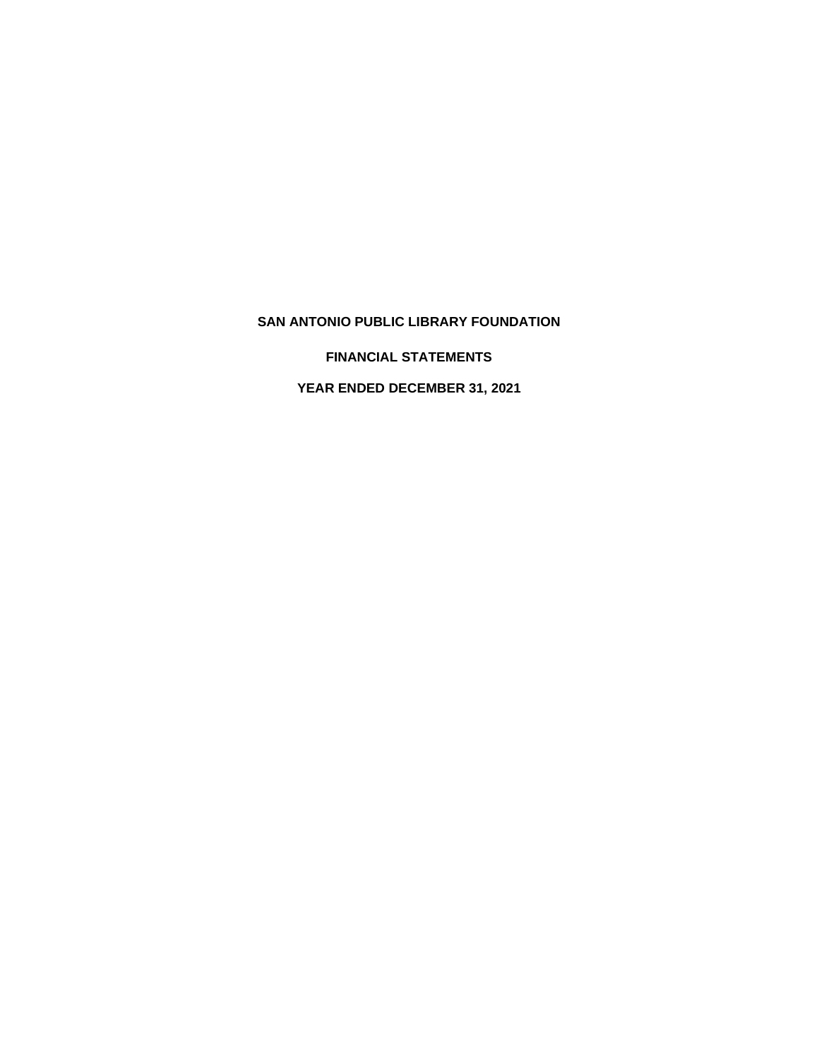**FINANCIAL STATEMENTS**

**YEAR ENDED DECEMBER 31, 2021**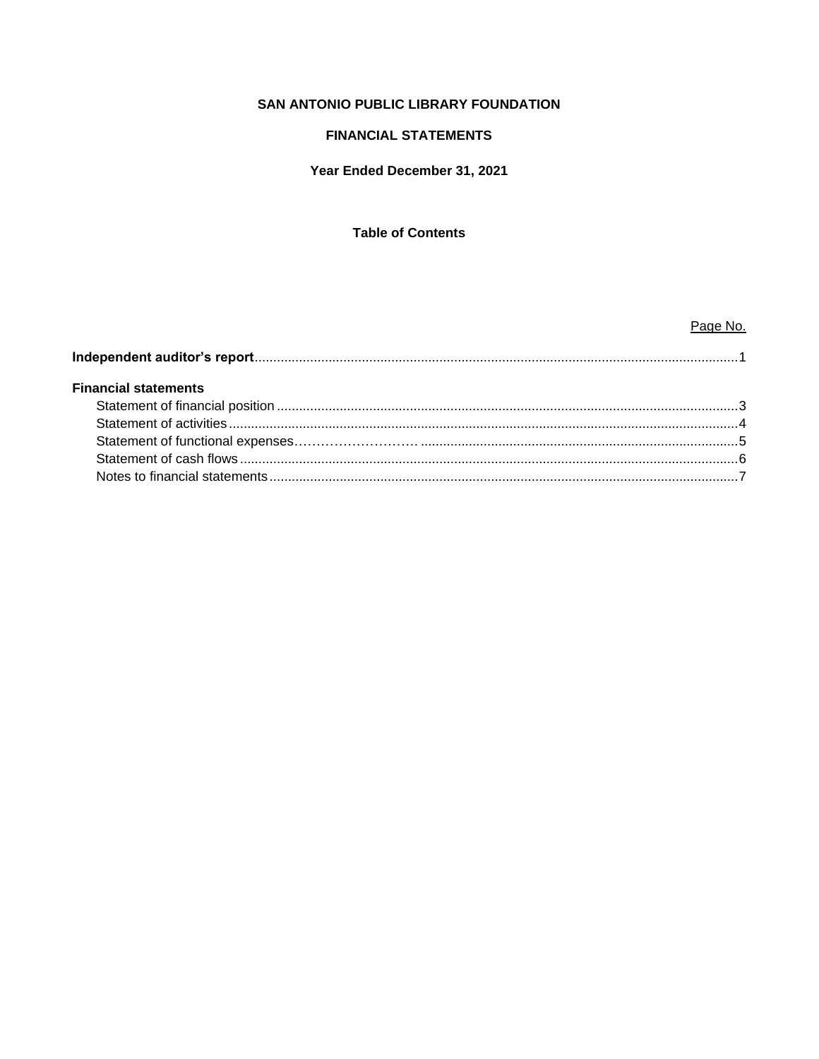# **FINANCIAL STATEMENTS**

# Year Ended December 31, 2021

# **Table of Contents**

# Page No.

| <b>Financial statements</b> |  |
|-----------------------------|--|
|                             |  |
|                             |  |
|                             |  |
|                             |  |
|                             |  |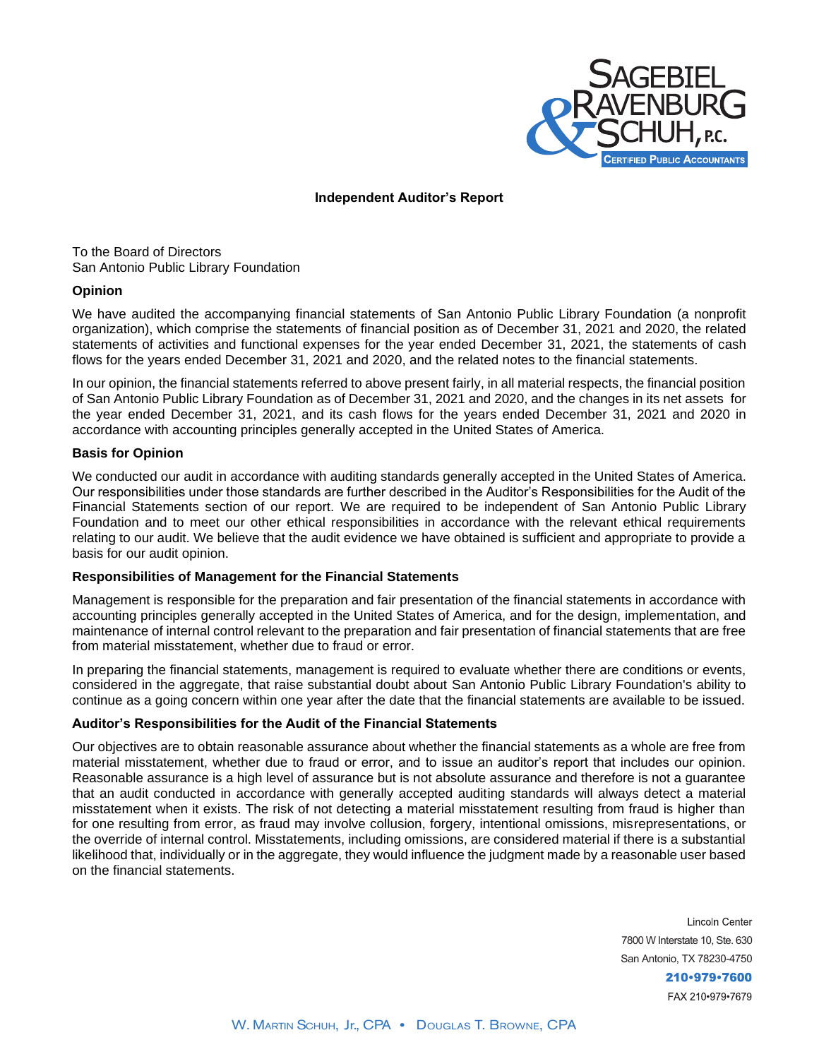

**Independent Auditor's Report**

To the Board of Directors San Antonio Public Library Foundation

## **Opinion**

We have audited the accompanying financial statements of San Antonio Public Library Foundation (a nonprofit organization), which comprise the statements of financial position as of December 31, 2021 and 2020, the related statements of activities and functional expenses for the year ended December 31, 2021, the statements of cash flows for the years ended December 31, 2021 and 2020, and the related notes to the financial statements.

In our opinion, the financial statements referred to above present fairly, in all material respects, the financial position of San Antonio Public Library Foundation as of December 31, 2021 and 2020, and the changes in its net assets for the year ended December 31, 2021, and its cash flows for the years ended December 31, 2021 and 2020 in accordance with accounting principles generally accepted in the United States of America.

## **Basis for Opinion**

We conducted our audit in accordance with auditing standards generally accepted in the United States of America. Our responsibilities under those standards are further described in the Auditor's Responsibilities for the Audit of the Financial Statements section of our report. We are required to be independent of San Antonio Public Library Foundation and to meet our other ethical responsibilities in accordance with the relevant ethical requirements relating to our audit. We believe that the audit evidence we have obtained is sufficient and appropriate to provide a basis for our audit opinion.

## **Responsibilities of Management for the Financial Statements**

Management is responsible for the preparation and fair presentation of the financial statements in accordance with accounting principles generally accepted in the United States of America, and for the design, implementation, and maintenance of internal control relevant to the preparation and fair presentation of financial statements that are free from material misstatement, whether due to fraud or error.

In preparing the financial statements, management is required to evaluate whether there are conditions or events, considered in the aggregate, that raise substantial doubt about San Antonio Public Library Foundation's ability to continue as a going concern within one year after the date that the financial statements are available to be issued.

## **Auditor's Responsibilities for the Audit of the Financial Statements**

Our objectives are to obtain reasonable assurance about whether the financial statements as a whole are free from material misstatement, whether due to fraud or error, and to issue an auditor's report that includes our opinion. Reasonable assurance is a high level of assurance but is not absolute assurance and therefore is not a guarantee that an audit conducted in accordance with generally accepted auditing standards will always detect a material misstatement when it exists. The risk of not detecting a material misstatement resulting from fraud is higher than for one resulting from error, as fraud may involve collusion, forgery, intentional omissions, misrepresentations, or the override of internal control. Misstatements, including omissions, are considered material if there is a substantial likelihood that, individually or in the aggregate, they would influence the judgment made by a reasonable user based on the financial statements.

> Lincoln Center 7800 W Interstate 10, Ste. 630 San Antonio, TX 78230-4750 210-979-7600 FAX 210-979-7679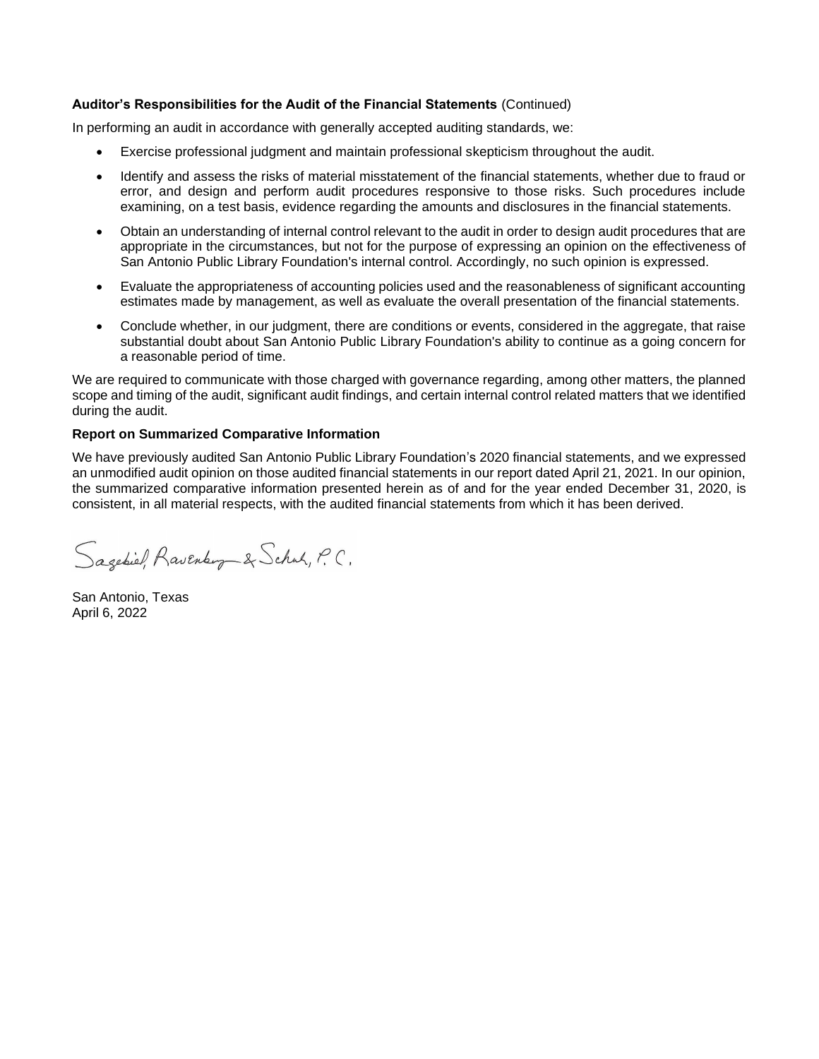## **Auditor's Responsibilities for the Audit of the Financial Statements** (Continued)

In performing an audit in accordance with generally accepted auditing standards, we:

- Exercise professional judgment and maintain professional skepticism throughout the audit.
- Identify and assess the risks of material misstatement of the financial statements, whether due to fraud or error, and design and perform audit procedures responsive to those risks. Such procedures include examining, on a test basis, evidence regarding the amounts and disclosures in the financial statements.
- Obtain an understanding of internal control relevant to the audit in order to design audit procedures that are appropriate in the circumstances, but not for the purpose of expressing an opinion on the effectiveness of San Antonio Public Library Foundation's internal control. Accordingly, no such opinion is expressed.
- Evaluate the appropriateness of accounting policies used and the reasonableness of significant accounting estimates made by management, as well as evaluate the overall presentation of the financial statements.
- Conclude whether, in our judgment, there are conditions or events, considered in the aggregate, that raise substantial doubt about San Antonio Public Library Foundation's ability to continue as a going concern for a reasonable period of time.

We are required to communicate with those charged with governance regarding, among other matters, the planned scope and timing of the audit, significant audit findings, and certain internal control related matters that we identified during the audit.

## **Report on Summarized Comparative Information**

We have previously audited San Antonio Public Library Foundation's 2020 financial statements, and we expressed an unmodified audit opinion on those audited financial statements in our report dated April 21, 2021. In our opinion, the summarized comparative information presented herein as of and for the year ended December 31, 2020, is consistent, in all material respects, with the audited financial statements from which it has been derived.

Sagebiel, Ravenburg & Schol, P.C.

San Antonio, Texas April 6, 2022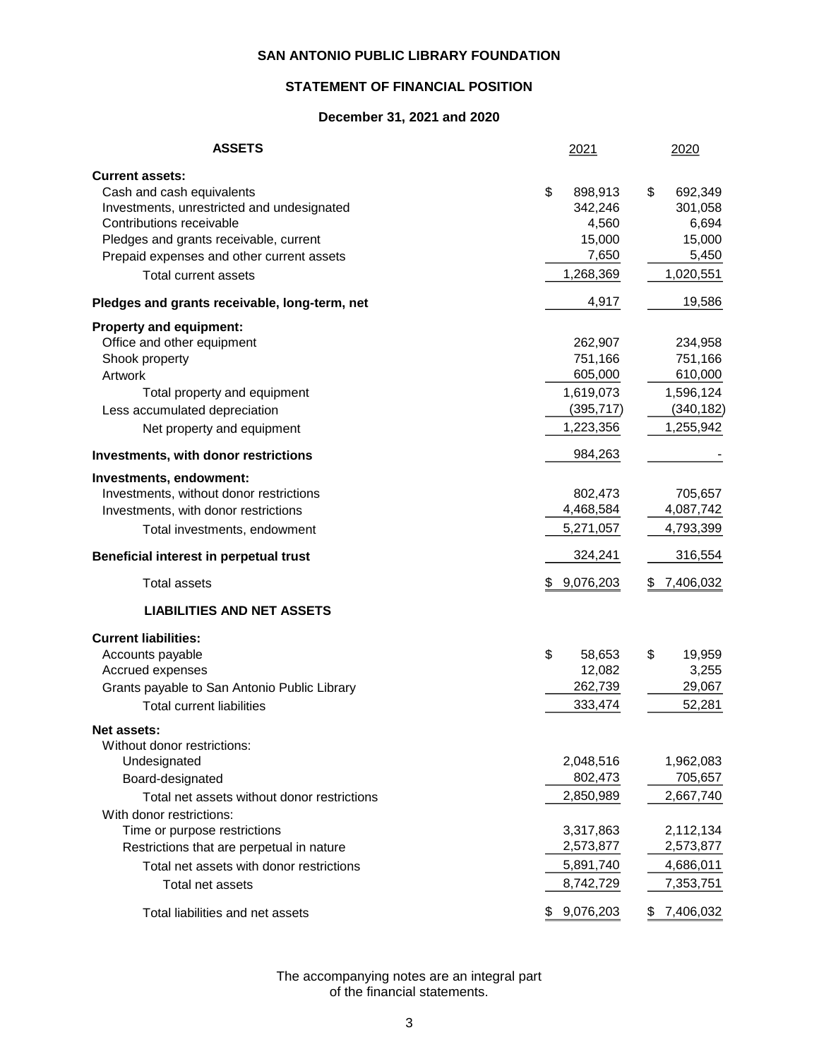# **STATEMENT OF FINANCIAL POSITION**

## **December 31, 2021 and 2020**

| <b>ASSETS</b>                                                                                                                                           | 2021                                         | 2020                                      |
|---------------------------------------------------------------------------------------------------------------------------------------------------------|----------------------------------------------|-------------------------------------------|
| <b>Current assets:</b><br>Cash and cash equivalents<br>Investments, unrestricted and undesignated                                                       | \$<br>898,913<br>342,246                     | \$<br>692,349<br>301,058                  |
| Contributions receivable<br>Pledges and grants receivable, current<br>Prepaid expenses and other current assets                                         | 4,560<br>15,000<br>7,650                     | 6,694<br>15,000<br>5,450                  |
| <b>Total current assets</b>                                                                                                                             | 1,268,369                                    | 1,020,551                                 |
| Pledges and grants receivable, long-term, net                                                                                                           | 4,917                                        | 19,586                                    |
| <b>Property and equipment:</b><br>Office and other equipment<br>Shook property                                                                          | 262,907<br>751,166                           | 234,958<br>751,166                        |
| Artwork                                                                                                                                                 | 605,000                                      | 610,000                                   |
| Total property and equipment<br>Less accumulated depreciation<br>Net property and equipment                                                             | 1,619,073<br>(395, 717)<br>1,223,356         | 1,596,124<br>(340, 182)<br>1,255,942      |
| Investments, with donor restrictions                                                                                                                    | 984,263                                      |                                           |
| Investments, endowment:<br>Investments, without donor restrictions<br>Investments, with donor restrictions<br>Total investments, endowment              | 802,473<br>4,468,584<br>5,271,057            | 705,657<br>4,087,742<br>4,793,399         |
| Beneficial interest in perpetual trust                                                                                                                  | 324,241                                      | 316,554                                   |
| <b>Total assets</b>                                                                                                                                     | 9,076,203<br>\$.                             | 7,406,032<br>\$.                          |
| <b>LIABILITIES AND NET ASSETS</b>                                                                                                                       |                                              |                                           |
| <b>Current liabilities:</b><br>Accounts payable<br>Accrued expenses<br>Grants payable to San Antonio Public Library<br><b>Total current liabilities</b> | \$<br>58,653<br>12,082<br>262,739<br>333,474 | \$<br>19,959<br>3,255<br>29,067<br>52,281 |
| Net assets:<br>Without donor restrictions:                                                                                                              |                                              |                                           |
| Undesignated<br>Board-designated                                                                                                                        | 2,048,516<br>802,473                         | 1,962,083<br>705,657                      |
| Total net assets without donor restrictions<br>With donor restrictions:<br>Time or purpose restrictions                                                 | 2,850,989<br>3,317,863                       | 2,667,740<br>2,112,134                    |
| Restrictions that are perpetual in nature                                                                                                               | 2,573,877                                    | 2,573,877                                 |
| Total net assets with donor restrictions<br>Total net assets                                                                                            | 5,891,740<br>8,742,729                       | 4,686,011<br>7,353,751                    |
| Total liabilities and net assets                                                                                                                        | 9,076,203<br>\$                              | \$7,406,032                               |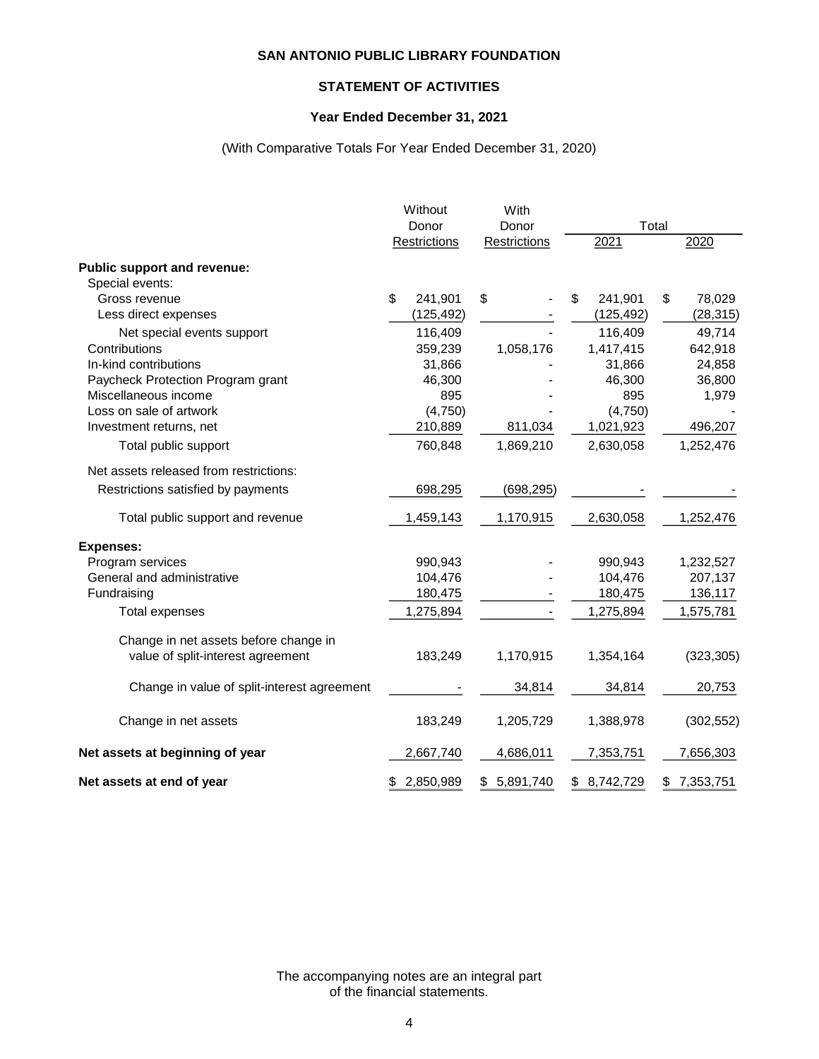## **STATEMENT OF ACTIVITIES**

## **Year Ended December 31, 2021**

# (With Comparative Totals For Year Ended December 31, 2020)

|                                             | Without         | With            |                 |                 |
|---------------------------------------------|-----------------|-----------------|-----------------|-----------------|
|                                             | Donor           | Donor           |                 | Total           |
|                                             | Restrictions    | Restrictions    | 2021            | 2020            |
| <b>Public support and revenue:</b>          |                 |                 |                 |                 |
| Special events:                             |                 |                 |                 |                 |
| Gross revenue                               | \$<br>241,901   | \$              | \$<br>241,901   | \$<br>78,029    |
| Less direct expenses                        | (125, 492)      |                 | (125, 492)      | (28, 315)       |
| Net special events support                  | 116,409         |                 | 116,409         | 49,714          |
| Contributions                               | 359,239         | 1,058,176       | 1,417,415       | 642,918         |
| In-kind contributions                       | 31,866          |                 | 31,866          | 24,858          |
| Paycheck Protection Program grant           | 46,300          |                 | 46,300          | 36,800          |
| Miscellaneous income                        | 895             |                 | 895             | 1,979           |
| Loss on sale of artwork                     | (4,750)         |                 | (4,750)         |                 |
| Investment returns, net                     | 210,889         | 811,034         | 1,021,923       | 496,207         |
| Total public support                        | 760,848         | 1,869,210       | 2,630,058       | 1,252,476       |
| Net assets released from restrictions:      |                 |                 |                 |                 |
| Restrictions satisfied by payments          | 698,295         | (698, 295)      |                 |                 |
| Total public support and revenue            | 1,459,143       | 1,170,915       | 2,630,058       | 1,252,476       |
| <b>Expenses:</b>                            |                 |                 |                 |                 |
| Program services                            | 990,943         |                 | 990,943         | 1,232,527       |
| General and administrative                  | 104,476         |                 | 104,476         | 207,137         |
| Fundraising                                 | 180,475         |                 | 180,475         | 136,117         |
| <b>Total expenses</b>                       | 1,275,894       |                 | 1,275,894       | 1,575,781       |
| Change in net assets before change in       |                 |                 |                 |                 |
| value of split-interest agreement           | 183,249         | 1,170,915       | 1,354,164       | (323, 305)      |
| Change in value of split-interest agreement |                 | 34,814          | 34,814          | 20,753          |
| Change in net assets                        | 183,249         | 1,205,729       | 1,388,978       | (302, 552)      |
| Net assets at beginning of year             | 2,667,740       | 4,686,011       | 7,353,751       | 7,656,303       |
| Net assets at end of year                   | 2,850,989<br>\$ | 5,891,740<br>\$ | \$<br>8,742,729 | \$<br>7,353,751 |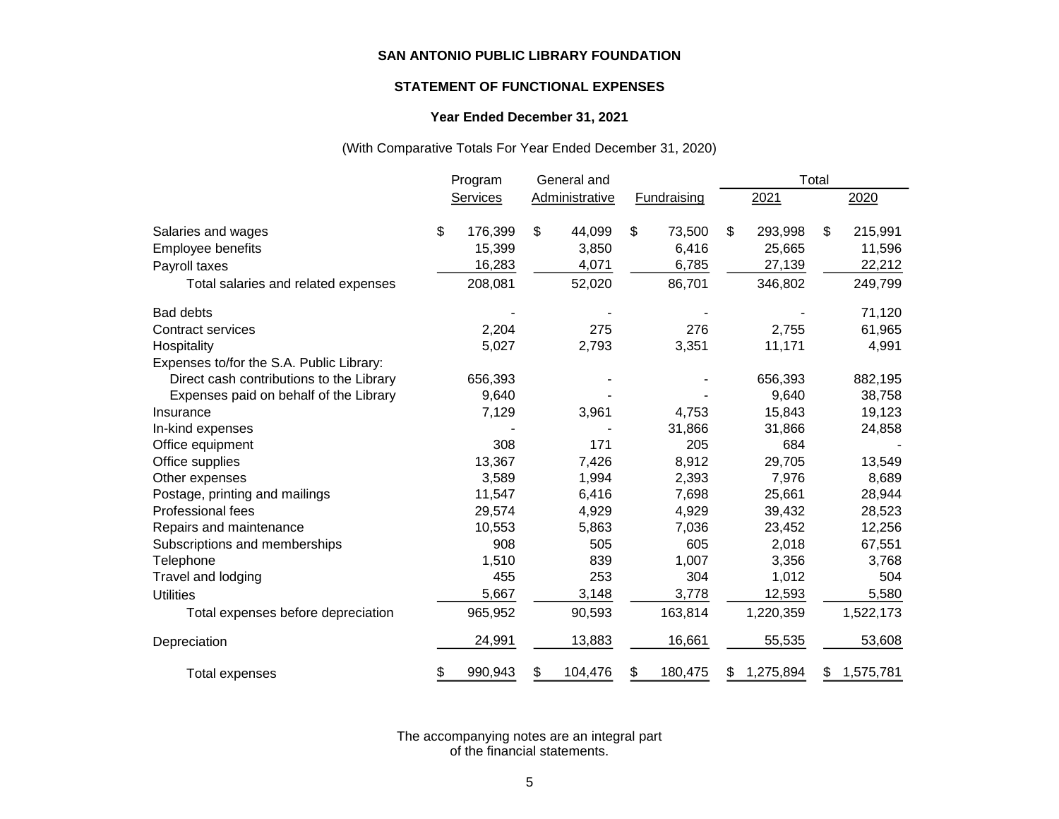# **STATEMENT OF FUNCTIONAL EXPENSES**

# **Year Ended December 31, 2021**

# (With Comparative Totals For Year Ended December 31, 2020)

|                                          | Program       | General and |                |    |             | Total |           |    |           |
|------------------------------------------|---------------|-------------|----------------|----|-------------|-------|-----------|----|-----------|
|                                          | Services      |             | Administrative |    | Fundraising |       | 2021      |    | 2020      |
| Salaries and wages                       | \$<br>176,399 | \$          | 44,099         | \$ | 73,500      | S     | 293,998   | \$ | 215,991   |
| <b>Employee benefits</b>                 | 15,399        |             | 3,850          |    | 6,416       |       | 25,665    |    | 11,596    |
| Payroll taxes                            | 16,283        |             | 4,071          |    | 6,785       |       | 27,139    |    | 22,212    |
| Total salaries and related expenses      | 208,081       |             | 52,020         |    | 86,701      |       | 346,802   |    | 249,799   |
| <b>Bad debts</b>                         |               |             |                |    |             |       |           |    | 71,120    |
| <b>Contract services</b>                 | 2,204         |             | 275            |    | 276         |       | 2,755     |    | 61,965    |
| Hospitality                              | 5,027         |             | 2,793          |    | 3,351       |       | 11,171    |    | 4,991     |
| Expenses to/for the S.A. Public Library: |               |             |                |    |             |       |           |    |           |
| Direct cash contributions to the Library | 656,393       |             |                |    |             |       | 656,393   |    | 882,195   |
| Expenses paid on behalf of the Library   | 9,640         |             |                |    |             |       | 9,640     |    | 38,758    |
| Insurance                                | 7,129         |             | 3,961          |    | 4,753       |       | 15,843    |    | 19,123    |
| In-kind expenses                         |               |             |                |    | 31,866      |       | 31,866    |    | 24,858    |
| Office equipment                         | 308           |             | 171            |    | 205         |       | 684       |    |           |
| Office supplies                          | 13,367        |             | 7,426          |    | 8,912       |       | 29,705    |    | 13,549    |
| Other expenses                           | 3,589         |             | 1,994          |    | 2,393       |       | 7,976     |    | 8,689     |
| Postage, printing and mailings           | 11,547        |             | 6,416          |    | 7,698       |       | 25,661    |    | 28,944    |
| <b>Professional fees</b>                 | 29,574        |             | 4,929          |    | 4,929       |       | 39,432    |    | 28,523    |
| Repairs and maintenance                  | 10,553        |             | 5,863          |    | 7,036       |       | 23,452    |    | 12,256    |
| Subscriptions and memberships            | 908           |             | 505            |    | 605         |       | 2,018     |    | 67,551    |
| Telephone                                | 1,510         |             | 839            |    | 1,007       |       | 3,356     |    | 3,768     |
| Travel and lodging                       | 455           |             | 253            |    | 304         |       | 1,012     |    | 504       |
| <b>Utilities</b>                         | 5,667         |             | 3,148          |    | 3,778       |       | 12,593    |    | 5,580     |
| Total expenses before depreciation       | 965,952       |             | 90,593         |    | 163,814     |       | 1,220,359 |    | 1,522,173 |
| Depreciation                             | 24,991        |             | 13,883         |    | 16,661      |       | 55,535    |    | 53,608    |
| <b>Total expenses</b>                    | \$<br>990,943 | \$          | 104,476        | S  | 180,475     | S     | 1,275,894 | \$ | 1,575,781 |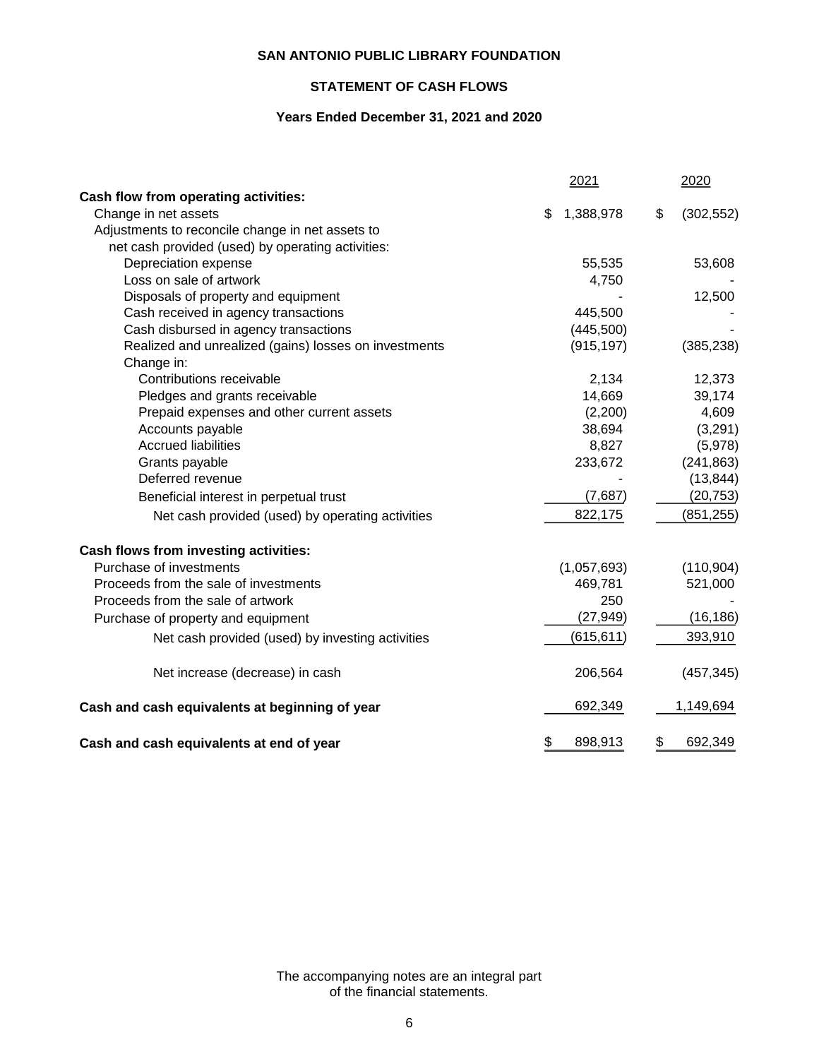## **STATEMENT OF CASH FLOWS**

## **Years Ended December 31, 2021 and 2020**

|                                                       | 2021            | 2020             |
|-------------------------------------------------------|-----------------|------------------|
| Cash flow from operating activities:                  |                 |                  |
| Change in net assets                                  | 1,388,978<br>\$ | \$<br>(302, 552) |
| Adjustments to reconcile change in net assets to      |                 |                  |
| net cash provided (used) by operating activities:     |                 |                  |
| Depreciation expense                                  | 55,535          | 53,608           |
| Loss on sale of artwork                               | 4,750           |                  |
| Disposals of property and equipment                   |                 | 12,500           |
| Cash received in agency transactions                  | 445,500         |                  |
| Cash disbursed in agency transactions                 | (445,500)       |                  |
| Realized and unrealized (gains) losses on investments | (915, 197)      | (385, 238)       |
| Change in:                                            |                 |                  |
| Contributions receivable                              | 2,134           | 12,373           |
| Pledges and grants receivable                         | 14,669          | 39,174           |
| Prepaid expenses and other current assets             | (2,200)         | 4,609            |
| Accounts payable                                      | 38,694          | (3,291)          |
| <b>Accrued liabilities</b>                            | 8,827           | (5,978)          |
| Grants payable                                        | 233,672         | (241, 863)       |
| Deferred revenue                                      |                 | (13, 844)        |
| Beneficial interest in perpetual trust                | (7,687)         | (20, 753)        |
| Net cash provided (used) by operating activities      | 822,175         | (851, 255)       |
| Cash flows from investing activities:                 |                 |                  |
| Purchase of investments                               | (1,057,693)     | (110, 904)       |
| Proceeds from the sale of investments                 | 469,781         | 521,000          |
| Proceeds from the sale of artwork                     | 250             |                  |
| Purchase of property and equipment                    | (27, 949)       | (16, 186)        |
| Net cash provided (used) by investing activities      | (615, 611)      | 393,910          |
| Net increase (decrease) in cash                       | 206,564         | (457, 345)       |
| Cash and cash equivalents at beginning of year        | 692,349         | 1,149,694        |
| Cash and cash equivalents at end of year              | \$<br>898,913   | \$<br>692,349    |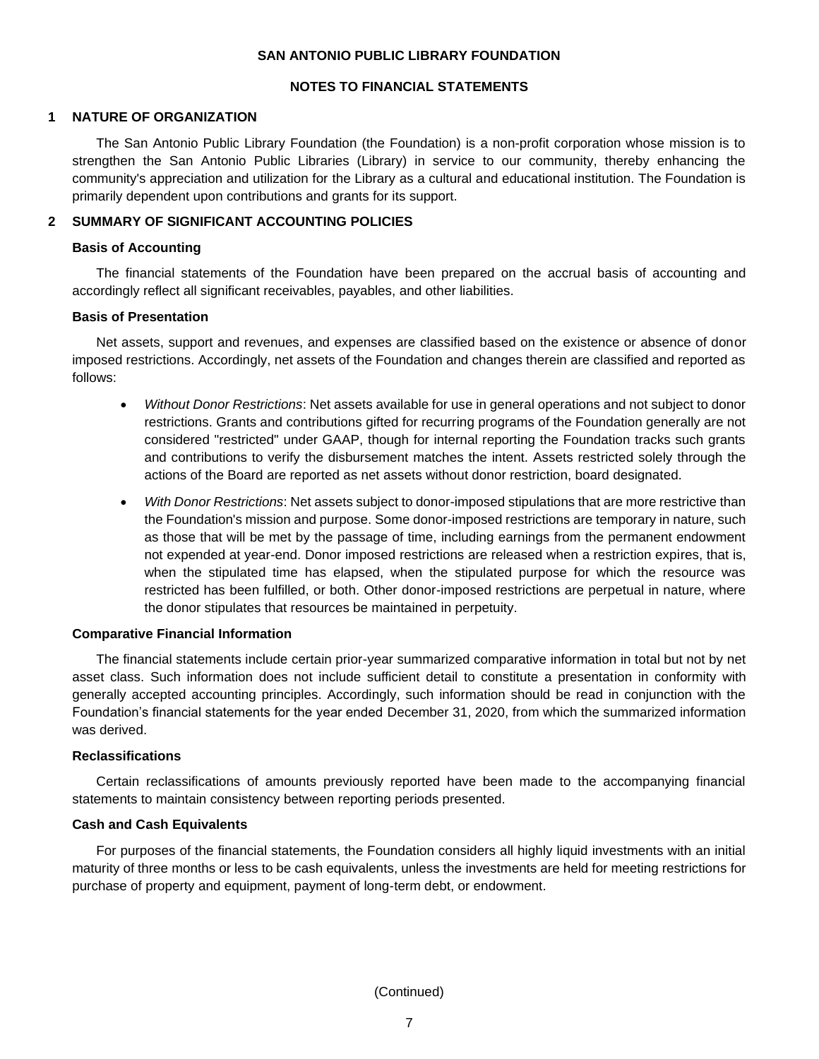## **NOTES TO FINANCIAL STATEMENTS**

## **1 NATURE OF ORGANIZATION**

The San Antonio Public Library Foundation (the Foundation) is a non-profit corporation whose mission is to strengthen the San Antonio Public Libraries (Library) in service to our community, thereby enhancing the community's appreciation and utilization for the Library as a cultural and educational institution. The Foundation is primarily dependent upon contributions and grants for its support.

## **2 SUMMARY OF SIGNIFICANT ACCOUNTING POLICIES**

## **Basis of Accounting**

The financial statements of the Foundation have been prepared on the accrual basis of accounting and accordingly reflect all significant receivables, payables, and other liabilities.

## **Basis of Presentation**

Net assets, support and revenues, and expenses are classified based on the existence or absence of donor imposed restrictions. Accordingly, net assets of the Foundation and changes therein are classified and reported as follows:

- *Without Donor Restrictions*: Net assets available for use in general operations and not subject to donor restrictions. Grants and contributions gifted for recurring programs of the Foundation generally are not considered "restricted" under GAAP, though for internal reporting the Foundation tracks such grants and contributions to verify the disbursement matches the intent. Assets restricted solely through the actions of the Board are reported as net assets without donor restriction, board designated.
- *With Donor Restrictions*: Net assets subject to donor-imposed stipulations that are more restrictive than the Foundation's mission and purpose. Some donor-imposed restrictions are temporary in nature, such as those that will be met by the passage of time, including earnings from the permanent endowment not expended at year-end. Donor imposed restrictions are released when a restriction expires, that is, when the stipulated time has elapsed, when the stipulated purpose for which the resource was restricted has been fulfilled, or both. Other donor-imposed restrictions are perpetual in nature, where the donor stipulates that resources be maintained in perpetuity.

## **Comparative Financial Information**

The financial statements include certain prior-year summarized comparative information in total but not by net asset class. Such information does not include sufficient detail to constitute a presentation in conformity with generally accepted accounting principles. Accordingly, such information should be read in conjunction with the Foundation's financial statements for the year ended December 31, 2020, from which the summarized information was derived.

## **Reclassifications**

Certain reclassifications of amounts previously reported have been made to the accompanying financial statements to maintain consistency between reporting periods presented.

## **Cash and Cash Equivalents**

For purposes of the financial statements, the Foundation considers all highly liquid investments with an initial maturity of three months or less to be cash equivalents, unless the investments are held for meeting restrictions for purchase of property and equipment, payment of long-term debt, or endowment.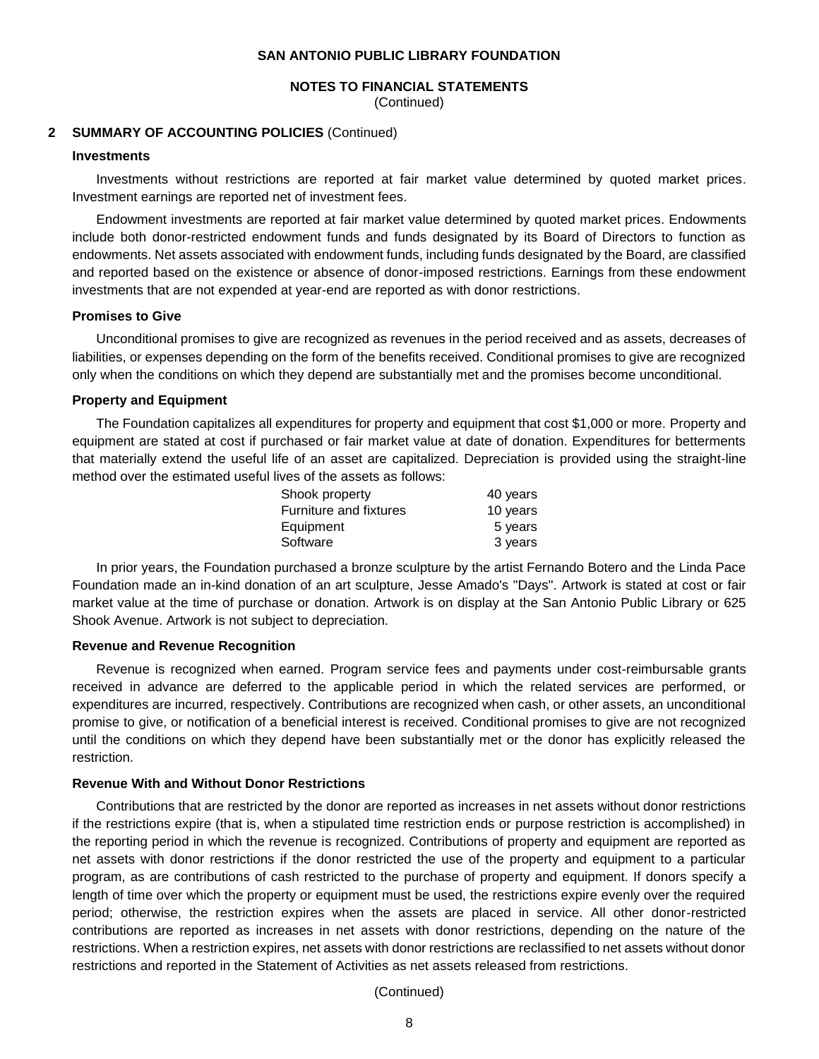## **NOTES TO FINANCIAL STATEMENTS**

(Continued)

# **2 SUMMARY OF ACCOUNTING POLICIES** (Continued)

## **Investments**

Investments without restrictions are reported at fair market value determined by quoted market prices. Investment earnings are reported net of investment fees.

Endowment investments are reported at fair market value determined by quoted market prices. Endowments include both donor-restricted endowment funds and funds designated by its Board of Directors to function as endowments. Net assets associated with endowment funds, including funds designated by the Board, are classified and reported based on the existence or absence of donor-imposed restrictions. Earnings from these endowment investments that are not expended at year-end are reported as with donor restrictions.

#### **Promises to Give**

Unconditional promises to give are recognized as revenues in the period received and as assets, decreases of liabilities, or expenses depending on the form of the benefits received. Conditional promises to give are recognized only when the conditions on which they depend are substantially met and the promises become unconditional.

#### **Property and Equipment**

The Foundation capitalizes all expenditures for property and equipment that cost \$1,000 or more. Property and equipment are stated at cost if purchased or fair market value at date of donation. Expenditures for betterments that materially extend the useful life of an asset are capitalized. Depreciation is provided using the straight-line method over the estimated useful lives of the assets as follows:

| 40 years |
|----------|
| 10 years |
| 5 years  |
| 3 years  |
|          |

In prior years, the Foundation purchased a bronze sculpture by the artist Fernando Botero and the Linda Pace Foundation made an in-kind donation of an art sculpture, Jesse Amado's "Days". Artwork is stated at cost or fair market value at the time of purchase or donation. Artwork is on display at the San Antonio Public Library or 625 Shook Avenue. Artwork is not subject to depreciation.

## **Revenue and Revenue Recognition**

Revenue is recognized when earned. Program service fees and payments under cost-reimbursable grants received in advance are deferred to the applicable period in which the related services are performed, or expenditures are incurred, respectively. Contributions are recognized when cash, or other assets, an unconditional promise to give, or notification of a beneficial interest is received. Conditional promises to give are not recognized until the conditions on which they depend have been substantially met or the donor has explicitly released the restriction.

#### **Revenue With and Without Donor Restrictions**

Contributions that are restricted by the donor are reported as increases in net assets without donor restrictions if the restrictions expire (that is, when a stipulated time restriction ends or purpose restriction is accomplished) in the reporting period in which the revenue is recognized. Contributions of property and equipment are reported as net assets with donor restrictions if the donor restricted the use of the property and equipment to a particular program, as are contributions of cash restricted to the purchase of property and equipment. If donors specify a length of time over which the property or equipment must be used, the restrictions expire evenly over the required period; otherwise, the restriction expires when the assets are placed in service. All other donor-restricted contributions are reported as increases in net assets with donor restrictions, depending on the nature of the restrictions. When a restriction expires, net assets with donor restrictions are reclassified to net assets without donor restrictions and reported in the Statement of Activities as net assets released from restrictions.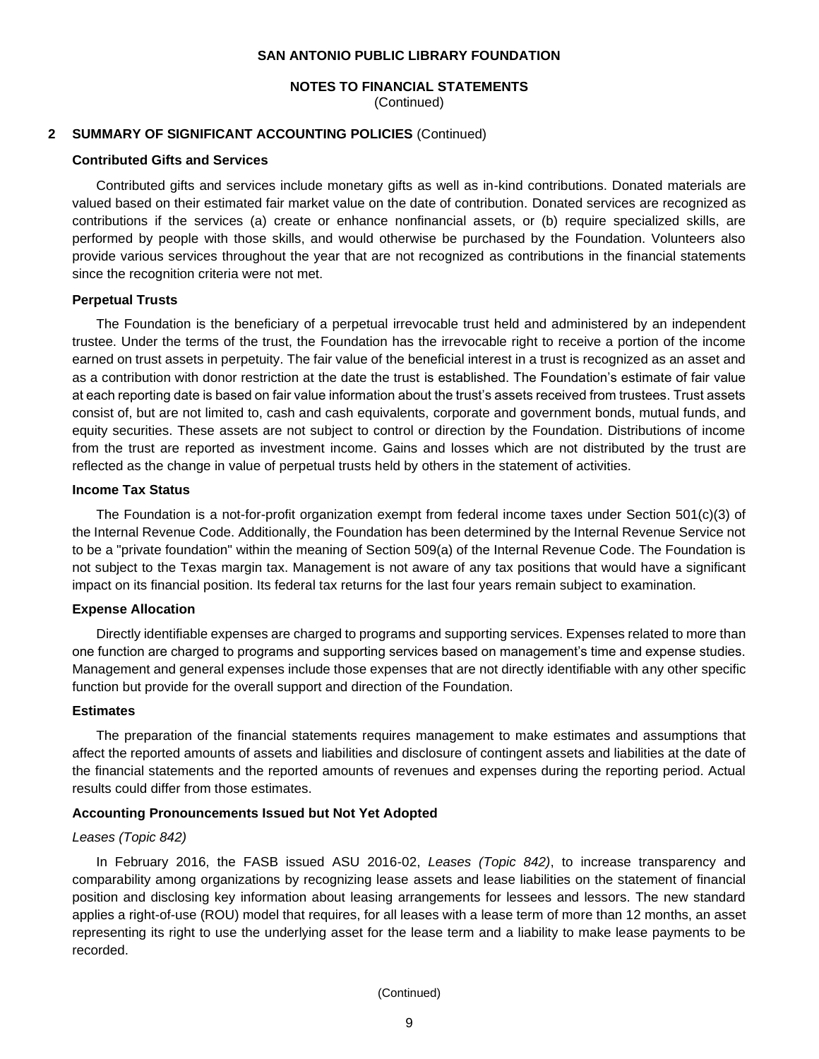#### **NOTES TO FINANCIAL STATEMENTS** (Continued)

# **2 SUMMARY OF SIGNIFICANT ACCOUNTING POLICIES** (Continued)

# **Contributed Gifts and Services**

Contributed gifts and services include monetary gifts as well as in-kind contributions. Donated materials are valued based on their estimated fair market value on the date of contribution. Donated services are recognized as contributions if the services (a) create or enhance nonfinancial assets, or (b) require specialized skills, are performed by people with those skills, and would otherwise be purchased by the Foundation. Volunteers also provide various services throughout the year that are not recognized as contributions in the financial statements since the recognition criteria were not met.

# **Perpetual Trusts**

The Foundation is the beneficiary of a perpetual irrevocable trust held and administered by an independent trustee. Under the terms of the trust, the Foundation has the irrevocable right to receive a portion of the income earned on trust assets in perpetuity. The fair value of the beneficial interest in a trust is recognized as an asset and as a contribution with donor restriction at the date the trust is established. The Foundation's estimate of fair value at each reporting date is based on fair value information about the trust's assets received from trustees. Trust assets consist of, but are not limited to, cash and cash equivalents, corporate and government bonds, mutual funds, and equity securities. These assets are not subject to control or direction by the Foundation. Distributions of income from the trust are reported as investment income. Gains and losses which are not distributed by the trust are reflected as the change in value of perpetual trusts held by others in the statement of activities.

# **Income Tax Status**

The Foundation is a not-for-profit organization exempt from federal income taxes under Section 501(c)(3) of the Internal Revenue Code. Additionally, the Foundation has been determined by the Internal Revenue Service not to be a "private foundation" within the meaning of Section 509(a) of the Internal Revenue Code. The Foundation is not subject to the Texas margin tax. Management is not aware of any tax positions that would have a significant impact on its financial position. Its federal tax returns for the last four years remain subject to examination.

# **Expense Allocation**

Directly identifiable expenses are charged to programs and supporting services. Expenses related to more than one function are charged to programs and supporting services based on management's time and expense studies. Management and general expenses include those expenses that are not directly identifiable with any other specific function but provide for the overall support and direction of the Foundation.

# **Estimates**

The preparation of the financial statements requires management to make estimates and assumptions that affect the reported amounts of assets and liabilities and disclosure of contingent assets and liabilities at the date of the financial statements and the reported amounts of revenues and expenses during the reporting period. Actual results could differ from those estimates.

# **Accounting Pronouncements Issued but Not Yet Adopted**

# *Leases (Topic 842)*

In February 2016, the FASB issued ASU 2016-02, *Leases (Topic 842)*, to increase transparency and comparability among organizations by recognizing lease assets and lease liabilities on the statement of financial position and disclosing key information about leasing arrangements for lessees and lessors. The new standard applies a right-of-use (ROU) model that requires, for all leases with a lease term of more than 12 months, an asset representing its right to use the underlying asset for the lease term and a liability to make lease payments to be recorded.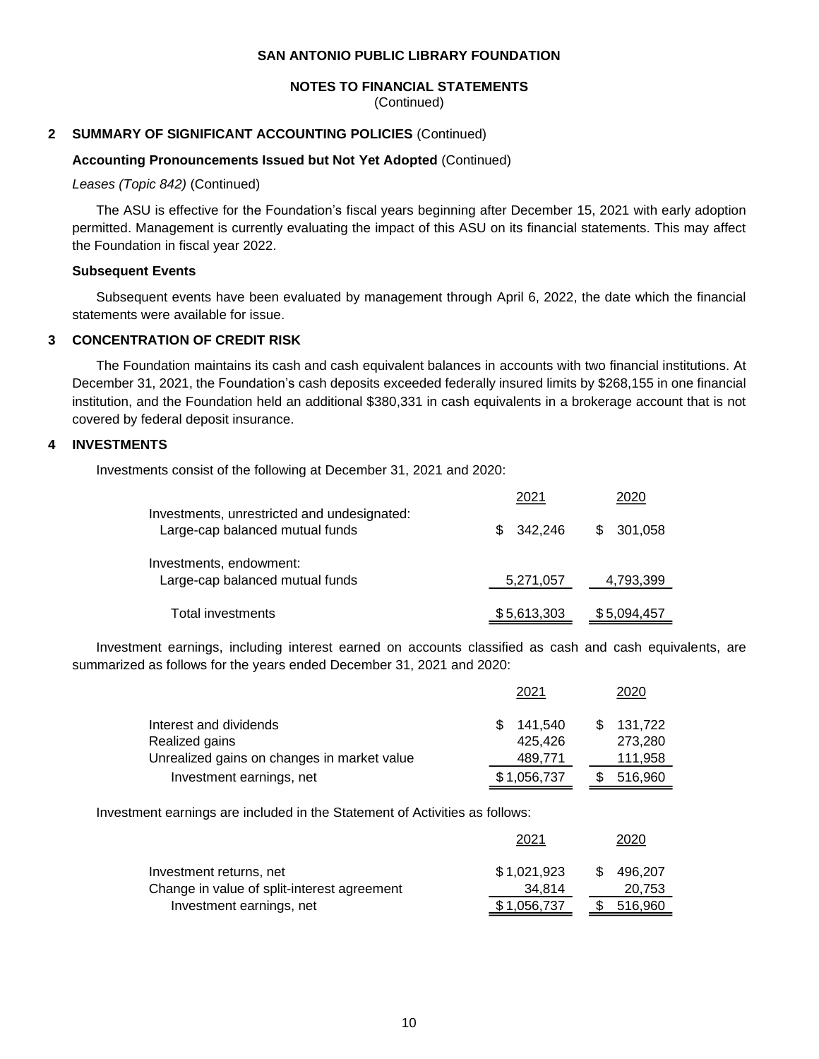# **NOTES TO FINANCIAL STATEMENTS**

(Continued)

## **2 SUMMARY OF SIGNIFICANT ACCOUNTING POLICIES** (Continued)

## **Accounting Pronouncements Issued but Not Yet Adopted** (Continued)

*Leases (Topic 842)* (Continued)

The ASU is effective for the Foundation's fiscal years beginning after December 15, 2021 with early adoption permitted. Management is currently evaluating the impact of this ASU on its financial statements. This may affect the Foundation in fiscal year 2022.

## **Subsequent Events**

Subsequent events have been evaluated by management through April 6, 2022, the date which the financial statements were available for issue.

## **3 CONCENTRATION OF CREDIT RISK**

The Foundation maintains its cash and cash equivalent balances in accounts with two financial institutions. At December 31, 2021, the Foundation's cash deposits exceeded federally insured limits by \$268,155 in one financial institution, and the Foundation held an additional \$380,331 in cash equivalents in a brokerage account that is not covered by federal deposit insurance.

## **4 INVESTMENTS**

Investments consist of the following at December 31, 2021 and 2020:

|                                                                                | 2021          | 2020         |
|--------------------------------------------------------------------------------|---------------|--------------|
| Investments, unrestricted and undesignated:<br>Large-cap balanced mutual funds | 342.246<br>S. | 301,058<br>S |
| Investments, endowment:<br>Large-cap balanced mutual funds                     | 5,271,057     | 4,793,399    |
| Total investments                                                              | \$5,613,303   | \$5,094,457  |

Investment earnings, including interest earned on accounts classified as cash and cash equivalents, are summarized as follows for the years ended December 31, 2021 and 2020:

|                                             | 2021           | 2020          |
|---------------------------------------------|----------------|---------------|
| Interest and dividends                      | 141.540<br>SS. | 131,722<br>S. |
| Realized gains                              | 425.426        | 273.280       |
| Unrealized gains on changes in market value | 489,771        | 111,958       |
| Investment earnings, net                    | \$1,056,737    | 516,960       |

Investment earnings are included in the Statement of Activities as follows:

|                                             |             | 2020 |         |
|---------------------------------------------|-------------|------|---------|
| Investment returns, net                     | \$1.021.923 | \$.  | 496.207 |
| Change in value of split-interest agreement | 34.814      |      | 20,753  |
| Investment earnings, net                    | \$1,056,737 |      | 516.960 |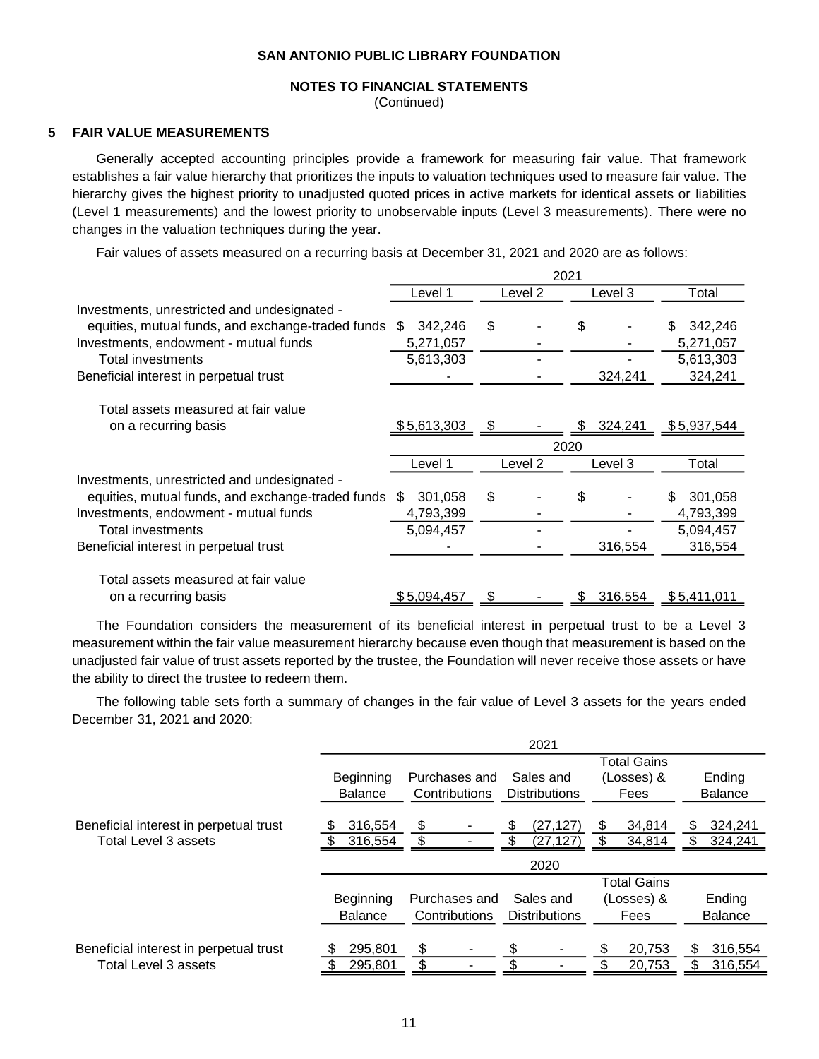## **NOTES TO FINANCIAL STATEMENTS**

(Continued)

## **5 FAIR VALUE MEASUREMENTS**

Generally accepted accounting principles provide a framework for measuring fair value. That framework establishes a fair value hierarchy that prioritizes the inputs to valuation techniques used to measure fair value. The hierarchy gives the highest priority to unadjusted quoted prices in active markets for identical assets or liabilities (Level 1 measurements) and the lowest priority to unobservable inputs (Level 3 measurements). There were no changes in the valuation techniques during the year.

Fair values of assets measured on a recurring basis at December 31, 2021 and 2020 are as follows:

|                                                                                                   | 2021          |         |      |    |         |               |
|---------------------------------------------------------------------------------------------------|---------------|---------|------|----|---------|---------------|
|                                                                                                   | Level 1       | Level 2 |      |    | Level 3 | Total         |
| Investments, unrestricted and undesignated -<br>equities, mutual funds, and exchange-traded funds | \$<br>342,246 | \$      |      | \$ |         | \$<br>342,246 |
| Investments, endowment - mutual funds                                                             | 5,271,057     |         |      |    |         | 5,271,057     |
| Total investments                                                                                 | 5,613,303     |         |      |    |         | 5,613,303     |
| Beneficial interest in perpetual trust                                                            |               |         |      |    | 324,241 | 324,241       |
|                                                                                                   |               |         |      |    |         |               |
| Total assets measured at fair value                                                               |               |         |      |    |         |               |
| on a recurring basis                                                                              | \$5,613,303   |         |      |    | 324,241 | \$5,937,544   |
|                                                                                                   |               |         | 2020 |    |         |               |
|                                                                                                   | Level 1       | Level 2 |      |    | Level 3 | Total         |
| Investments, unrestricted and undesignated -                                                      |               |         |      |    |         |               |
| equities, mutual funds, and exchange-traded funds                                                 | 301,058<br>S  | \$      |      | \$ |         | \$<br>301,058 |
| Investments, endowment - mutual funds                                                             | 4,793,399     |         |      |    |         | 4,793,399     |
| <b>Total investments</b>                                                                          | 5,094,457     |         |      |    |         | 5,094,457     |
| Beneficial interest in perpetual trust                                                            |               |         |      |    | 316,554 | 316,554       |
|                                                                                                   |               |         |      |    |         |               |
| Total assets measured at fair value                                                               |               |         |      |    |         |               |
| on a recurring basis                                                                              | \$5,094,457   |         |      |    | 316,554 | \$5,411,011   |

The Foundation considers the measurement of its beneficial interest in perpetual trust to be a Level 3 measurement within the fair value measurement hierarchy because even though that measurement is based on the unadjusted fair value of trust assets reported by the trustee, the Foundation will never receive those assets or have the ability to direct the trustee to redeem them.

The following table sets forth a summary of changes in the fair value of Level 3 assets for the years ended December 31, 2021 and 2020:

|                  |               | 2021                 |                    |                |
|------------------|---------------|----------------------|--------------------|----------------|
|                  |               |                      | <b>Total Gains</b> |                |
| <b>Beginning</b> | Purchases and | Sales and            | (Losses) &         | Ending         |
| <b>Balance</b>   | Contributions | <b>Distributions</b> | Fees               | <b>Balance</b> |
| 316.554          | \$            | S<br>(27,127)        | 34.814<br>\$       | 324,241<br>S.  |
|                  |               |                      |                    | 324,241        |
|                  |               | 2020                 |                    |                |
|                  |               |                      | <b>Total Gains</b> |                |
| Beginning        | Purchases and | Sales and            | $(Losses)$ &       | Ending         |
| <b>Balance</b>   | Contributions | <b>Distributions</b> | Fees               | <b>Balance</b> |
|                  |               |                      |                    |                |
| 295,801          | \$            | \$                   | S<br>20,753        | 316,554<br>\$. |
| 295,801          | \$            |                      | 20,753             | 316,554        |
|                  | 316,554       | S                    | (27, 127)          | 34,814         |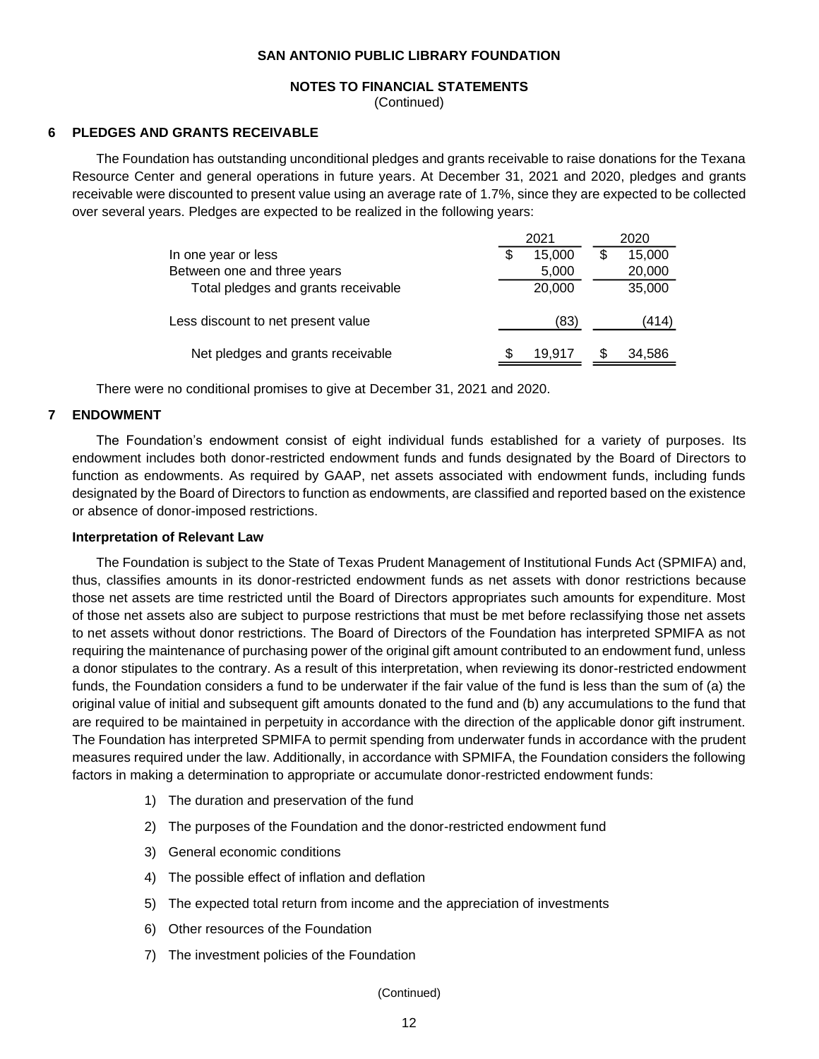## **NOTES TO FINANCIAL STATEMENTS**

(Continued)

# **6 PLEDGES AND GRANTS RECEIVABLE**

The Foundation has outstanding unconditional pledges and grants receivable to raise donations for the Texana Resource Center and general operations in future years. At December 31, 2021 and 2020, pledges and grants receivable were discounted to present value using an average rate of 1.7%, since they are expected to be collected over several years. Pledges are expected to be realized in the following years:

|                                     | 2021 |        |    | 2020   |
|-------------------------------------|------|--------|----|--------|
| In one year or less                 | \$   | 15,000 | \$ | 15,000 |
| Between one and three years         |      | 5,000  |    | 20,000 |
| Total pledges and grants receivable |      | 20,000 |    | 35,000 |
| Less discount to net present value  |      | (83)   |    | (414)  |
| Net pledges and grants receivable   | S    | 19.917 | £. | 34,586 |

There were no conditional promises to give at December 31, 2021 and 2020.

## **7 ENDOWMENT**

The Foundation's endowment consist of eight individual funds established for a variety of purposes. Its endowment includes both donor-restricted endowment funds and funds designated by the Board of Directors to function as endowments. As required by GAAP, net assets associated with endowment funds, including funds designated by the Board of Directors to function as endowments, are classified and reported based on the existence or absence of donor-imposed restrictions.

## **Interpretation of Relevant Law**

The Foundation is subject to the State of Texas Prudent Management of Institutional Funds Act (SPMIFA) and, thus, classifies amounts in its donor-restricted endowment funds as net assets with donor restrictions because those net assets are time restricted until the Board of Directors appropriates such amounts for expenditure. Most of those net assets also are subject to purpose restrictions that must be met before reclassifying those net assets to net assets without donor restrictions. The Board of Directors of the Foundation has interpreted SPMIFA as not requiring the maintenance of purchasing power of the original gift amount contributed to an endowment fund, unless a donor stipulates to the contrary. As a result of this interpretation, when reviewing its donor-restricted endowment funds, the Foundation considers a fund to be underwater if the fair value of the fund is less than the sum of (a) the original value of initial and subsequent gift amounts donated to the fund and (b) any accumulations to the fund that are required to be maintained in perpetuity in accordance with the direction of the applicable donor gift instrument. The Foundation has interpreted SPMIFA to permit spending from underwater funds in accordance with the prudent measures required under the law. Additionally, in accordance with SPMIFA, the Foundation considers the following factors in making a determination to appropriate or accumulate donor-restricted endowment funds:

- 1) The duration and preservation of the fund
- 2) The purposes of the Foundation and the donor-restricted endowment fund
- 3) General economic conditions
- 4) The possible effect of inflation and deflation
- 5) The expected total return from income and the appreciation of investments
- 6) Other resources of the Foundation
- 7) The investment policies of the Foundation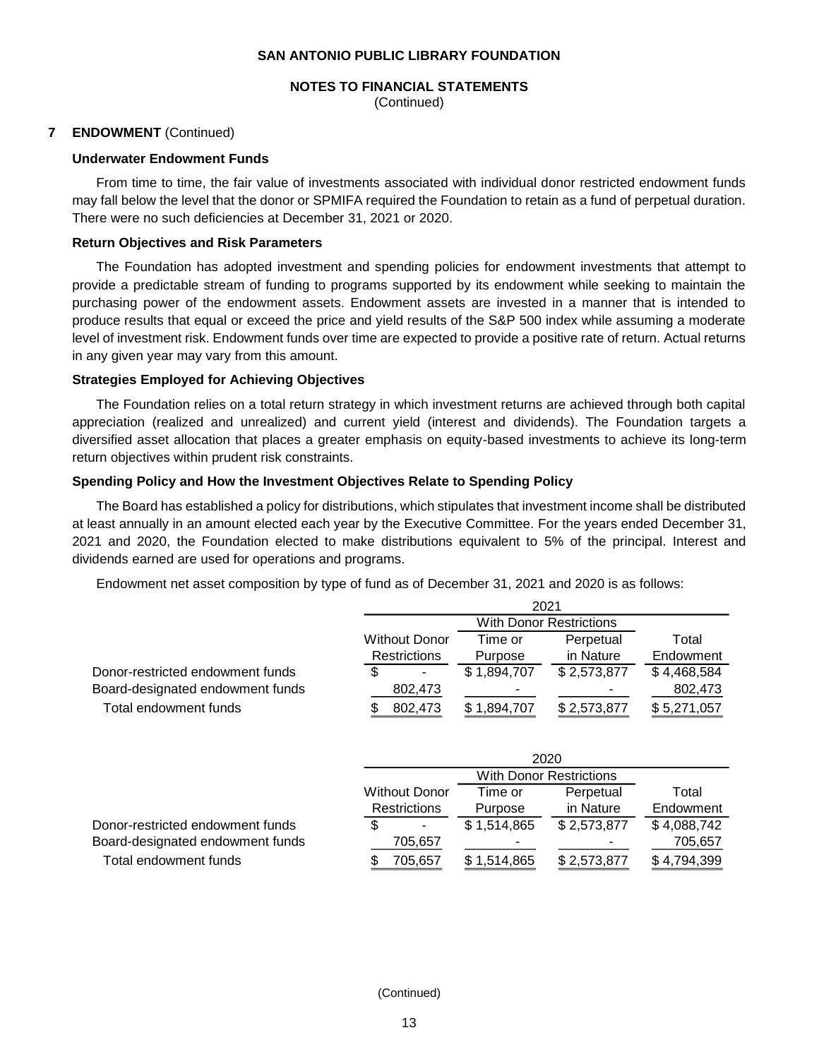## **NOTES TO FINANCIAL STATEMENTS**

(Continued)

## **7 ENDOWMENT** (Continued)

#### **Underwater Endowment Funds**

From time to time, the fair value of investments associated with individual donor restricted endowment funds may fall below the level that the donor or SPMIFA required the Foundation to retain as a fund of perpetual duration. There were no such deficiencies at December 31, 2021 or 2020.

## **Return Objectives and Risk Parameters**

The Foundation has adopted investment and spending policies for endowment investments that attempt to provide a predictable stream of funding to programs supported by its endowment while seeking to maintain the purchasing power of the endowment assets. Endowment assets are invested in a manner that is intended to produce results that equal or exceed the price and yield results of the S&P 500 index while assuming a moderate level of investment risk. Endowment funds over time are expected to provide a positive rate of return. Actual returns in any given year may vary from this amount.

## **Strategies Employed for Achieving Objectives**

The Foundation relies on a total return strategy in which investment returns are achieved through both capital appreciation (realized and unrealized) and current yield (interest and dividends). The Foundation targets a diversified asset allocation that places a greater emphasis on equity-based investments to achieve its long-term return objectives within prudent risk constraints.

## **Spending Policy and How the Investment Objectives Relate to Spending Policy**

The Board has established a policy for distributions, which stipulates that investment income shall be distributed at least annually in an amount elected each year by the Executive Committee. For the years ended December 31, 2021 and 2020, the Foundation elected to make distributions equivalent to 5% of the principal. Interest and dividends earned are used for operations and programs.

Endowment net asset composition by type of fund as of December 31, 2021 and 2020 is as follows:

|                                  | 2021                           |             |             |             |  |
|----------------------------------|--------------------------------|-------------|-------------|-------------|--|
|                                  | <b>With Donor Restrictions</b> |             |             |             |  |
|                                  | <b>Without Donor</b>           | Time or     | Perpetual   | Total       |  |
|                                  | <b>Restrictions</b>            | Purpose     | in Nature   | Endowment   |  |
| Donor-restricted endowment funds |                                | \$1,894,707 | \$2,573,877 | \$4,468,584 |  |
| Board-designated endowment funds | 802,473                        | -           |             | 802,473     |  |
| Total endowment funds            | 802,473                        | \$1,894,707 | \$2,573,877 | \$5,271,057 |  |

|                                  | 2020                           |             |             |             |
|----------------------------------|--------------------------------|-------------|-------------|-------------|
|                                  | <b>With Donor Restrictions</b> |             |             |             |
|                                  | <b>Without Donor</b>           | Time or     | Perpetual   | Total       |
|                                  | <b>Restrictions</b>            | Purpose     | in Nature   | Endowment   |
| Donor-restricted endowment funds |                                | \$1,514,865 | \$2,573,877 | \$4,088,742 |
| Board-designated endowment funds | 705,657                        | -           |             | 705,657     |
| Total endowment funds            | 705,657                        | \$1,514,865 | \$2,573,877 | \$4,794,399 |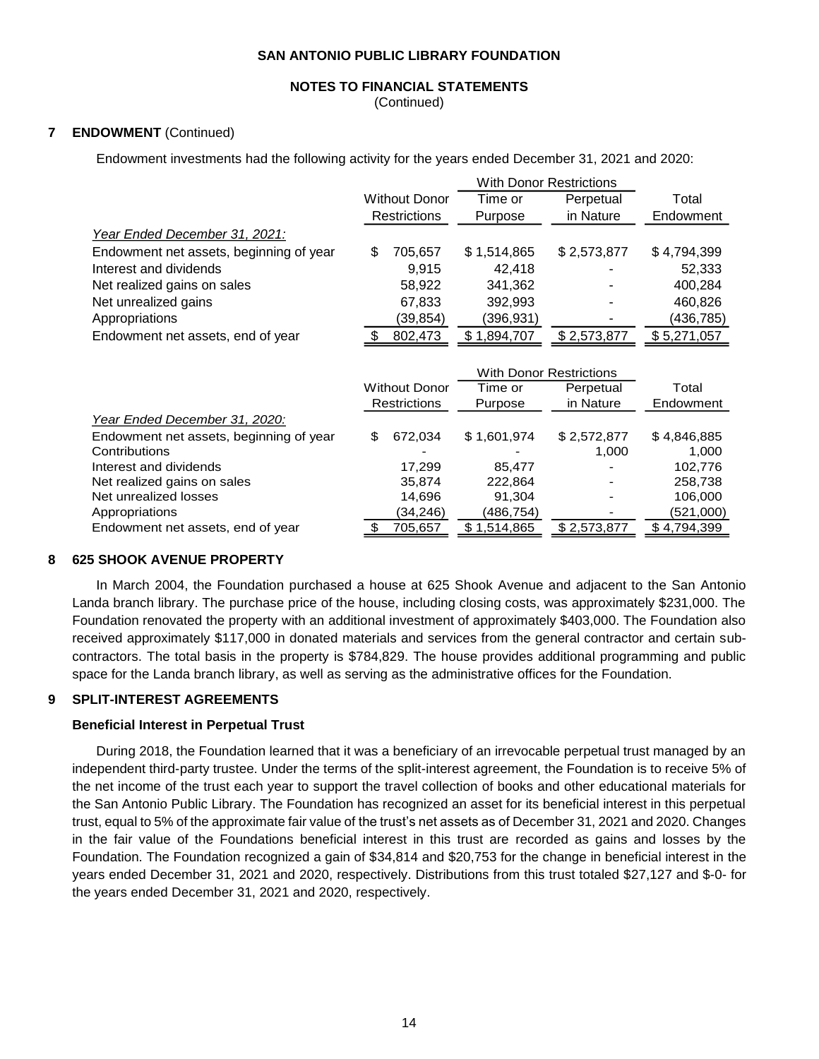## **NOTES TO FINANCIAL STATEMENTS**

(Continued)

## **7 ENDOWMENT** (Continued)

Endowment investments had the following activity for the years ended December 31, 2021 and 2020:

|                                         | <b>With Donor Restrictions</b> |                      |                                |             |             |
|-----------------------------------------|--------------------------------|----------------------|--------------------------------|-------------|-------------|
|                                         | <b>Without Donor</b>           |                      | Time or                        | Perpetual   | Total       |
|                                         |                                | <b>Restrictions</b>  | Purpose                        | in Nature   | Endowment   |
| Year Ended December 31, 2021:           |                                |                      |                                |             |             |
| Endowment net assets, beginning of year | \$                             | 705,657              | \$1,514,865                    | \$2,573,877 | \$4,794,399 |
| Interest and dividends                  |                                | 9,915                | 42,418                         |             | 52,333      |
| Net realized gains on sales             |                                | 58,922               | 341,362                        |             | 400,284     |
| Net unrealized gains                    |                                | 67,833               | 392,993                        |             | 460,826     |
| Appropriations                          |                                | (39,854)             | (396,931)                      |             | (436,785)   |
| Endowment net assets, end of year       | -SS                            | 802,473              | \$1,894,707                    | \$2,573,877 | \$5,271,057 |
|                                         |                                |                      |                                |             |             |
|                                         |                                |                      | <b>With Donor Restrictions</b> |             |             |
|                                         |                                | <b>Without Donor</b> | Time or                        | Perpetual   | Total       |
|                                         |                                | <b>Restrictions</b>  | Purpose                        | in Nature   | Endowment   |
| Year Ended December 31, 2020:           |                                |                      |                                |             |             |
| Endowment net assets, beginning of year | \$                             | 672,034              | \$1,601,974                    | \$2,572,877 | \$4,846,885 |
| Contributions                           |                                |                      |                                | 1,000       | 1,000       |
| Interest and dividends                  |                                | 17,299               | 85,477                         |             | 102,776     |
| Net realized gains on sales             |                                | 35,874               | 222,864                        |             | 258,738     |
|                                         |                                |                      |                                |             |             |
| Net unrealized losses                   |                                | 14,696               | 91,304                         |             | 106,000     |
| Appropriations                          |                                | (34,246)             | (486,754)                      |             | (521,000)   |

## **8 625 SHOOK AVENUE PROPERTY**

In March 2004, the Foundation purchased a house at 625 Shook Avenue and adjacent to the San Antonio Landa branch library. The purchase price of the house, including closing costs, was approximately \$231,000. The Foundation renovated the property with an additional investment of approximately \$403,000. The Foundation also received approximately \$117,000 in donated materials and services from the general contractor and certain subcontractors. The total basis in the property is \$784,829. The house provides additional programming and public space for the Landa branch library, as well as serving as the administrative offices for the Foundation.

## **9 SPLIT-INTEREST AGREEMENTS**

## **Beneficial Interest in Perpetual Trust**

During 2018, the Foundation learned that it was a beneficiary of an irrevocable perpetual trust managed by an independent third-party trustee. Under the terms of the split-interest agreement, the Foundation is to receive 5% of the net income of the trust each year to support the travel collection of books and other educational materials for the San Antonio Public Library. The Foundation has recognized an asset for its beneficial interest in this perpetual trust, equal to 5% of the approximate fair value of the trust's net assets as of December 31, 2021 and 2020. Changes in the fair value of the Foundations beneficial interest in this trust are recorded as gains and losses by the Foundation. The Foundation recognized a gain of \$34,814 and \$20,753 for the change in beneficial interest in the years ended December 31, 2021 and 2020, respectively. Distributions from this trust totaled \$27,127 and \$-0- for the years ended December 31, 2021 and 2020, respectively.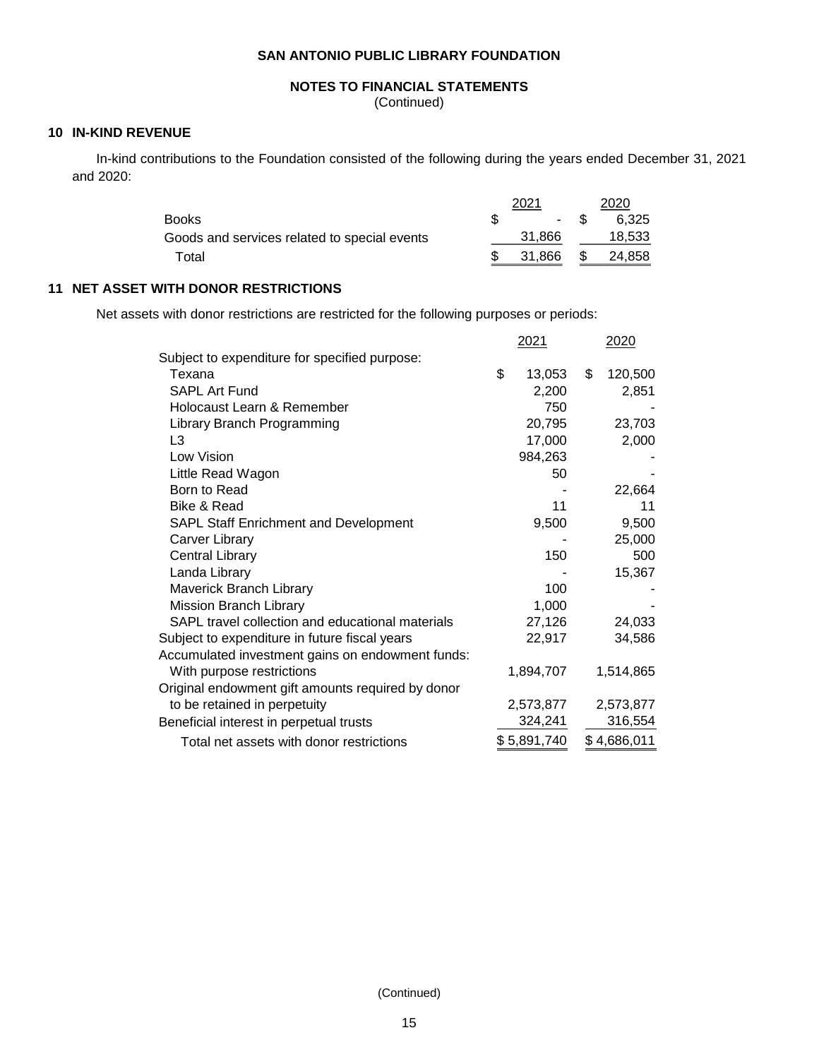## **NOTES TO FINANCIAL STATEMENTS**

(Continued)

## **10 IN-KIND REVENUE**

In-kind contributions to the Foundation consisted of the following during the years ended December 31, 2021 and 2020:

|                                              | 2021   |        | 2020   |
|----------------------------------------------|--------|--------|--------|
| Books                                        |        | $-$ \$ | 6.325  |
| Goods and services related to special events | 31.866 |        | 18,533 |
| Total                                        | 31.866 | \$     | 24,858 |

## **11 NET ASSET WITH DONOR RESTRICTIONS**

Net assets with donor restrictions are restricted for the following purposes or periods:

|                                                   | 2021         | 2020          |
|---------------------------------------------------|--------------|---------------|
| Subject to expenditure for specified purpose:     |              |               |
| Texana                                            | \$<br>13,053 | \$<br>120,500 |
| <b>SAPL Art Fund</b>                              | 2,200        | 2,851         |
| Holocaust Learn & Remember                        | 750          |               |
| Library Branch Programming                        | 20,795       | 23,703        |
| L <sub>3</sub>                                    | 17,000       | 2,000         |
| Low Vision                                        | 984,263      |               |
| Little Read Wagon                                 | 50           |               |
| Born to Read                                      |              | 22,664        |
| Bike & Read                                       | 11           | 11            |
| SAPL Staff Enrichment and Development             | 9,500        | 9,500         |
| Carver Library                                    |              | 25,000        |
| Central Library                                   | 150          | 500           |
| Landa Library                                     |              | 15,367        |
| Maverick Branch Library                           | 100          |               |
| <b>Mission Branch Library</b>                     | 1,000        |               |
| SAPL travel collection and educational materials  | 27,126       | 24,033        |
| Subject to expenditure in future fiscal years     | 22,917       | 34,586        |
| Accumulated investment gains on endowment funds:  |              |               |
| With purpose restrictions                         | 1,894,707    | 1,514,865     |
| Original endowment gift amounts required by donor |              |               |
| to be retained in perpetuity                      | 2,573,877    | 2,573,877     |
| Beneficial interest in perpetual trusts           | 324,241      | 316,554       |
| Total net assets with donor restrictions          | \$5,891,740  | \$4,686,011   |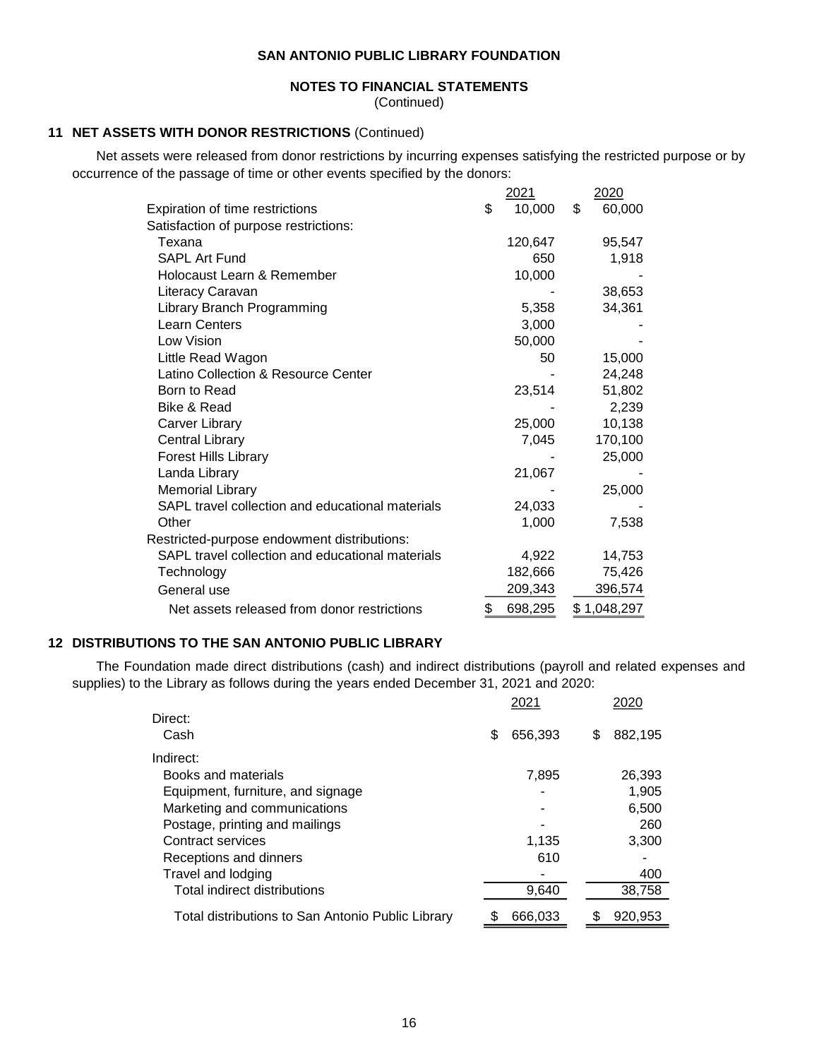## **NOTES TO FINANCIAL STATEMENTS**

(Continued)

# **11 NET ASSETS WITH DONOR RESTRICTIONS** (Continued)

Net assets were released from donor restrictions by incurring expenses satisfying the restricted purpose or by occurrence of the passage of time or other events specified by the donors:

|                                                  | <u> 2021</u>  | <u> 2020</u> |
|--------------------------------------------------|---------------|--------------|
| Expiration of time restrictions                  | \$<br>10,000  | \$<br>60,000 |
| Satisfaction of purpose restrictions:            |               |              |
| Texana                                           | 120,647       | 95,547       |
| <b>SAPL Art Fund</b>                             | 650           | 1,918        |
| Holocaust Learn & Remember                       | 10,000        |              |
| Literacy Caravan                                 |               | 38,653       |
| Library Branch Programming                       | 5,358         | 34,361       |
| Learn Centers                                    | 3,000         |              |
| Low Vision                                       | 50,000        |              |
| Little Read Wagon                                | 50            | 15,000       |
| Latino Collection & Resource Center              |               | 24,248       |
| Born to Read                                     | 23,514        | 51,802       |
| Bike & Read                                      |               | 2,239        |
| Carver Library                                   | 25,000        | 10,138       |
| <b>Central Library</b>                           | 7,045         | 170,100      |
| <b>Forest Hills Library</b>                      |               | 25,000       |
| Landa Library                                    | 21,067        |              |
| <b>Memorial Library</b>                          |               | 25,000       |
| SAPL travel collection and educational materials | 24,033        |              |
| Other                                            | 1,000         | 7,538        |
| Restricted-purpose endowment distributions:      |               |              |
| SAPL travel collection and educational materials | 4,922         | 14,753       |
| Technology                                       | 182,666       | 75,426       |
| General use                                      | 209,343       | 396,574      |
| Net assets released from donor restrictions      | \$<br>698,295 | \$1,048,297  |

## **12 DISTRIBUTIONS TO THE SAN ANTONIO PUBLIC LIBRARY**

The Foundation made direct distributions (cash) and indirect distributions (payroll and related expenses and supplies) to the Library as follows during the years ended December 31, 2021 and 2020:

|                                                   |   | 2021    |   | 2020    |
|---------------------------------------------------|---|---------|---|---------|
| Direct:                                           |   |         |   |         |
| Cash                                              | S | 656,393 | S | 882,195 |
| Indirect:                                         |   |         |   |         |
| Books and materials                               |   | 7,895   |   | 26,393  |
| Equipment, furniture, and signage                 |   |         |   | 1.905   |
| Marketing and communications                      |   |         |   | 6,500   |
| Postage, printing and mailings                    |   |         |   | 260     |
| Contract services                                 |   | 1,135   |   | 3,300   |
| Receptions and dinners                            |   | 610     |   |         |
| Travel and lodging                                |   |         |   | 400     |
| Total indirect distributions                      |   | 9,640   |   | 38,758  |
| Total distributions to San Antonio Public Library |   | 666,033 |   | 920,953 |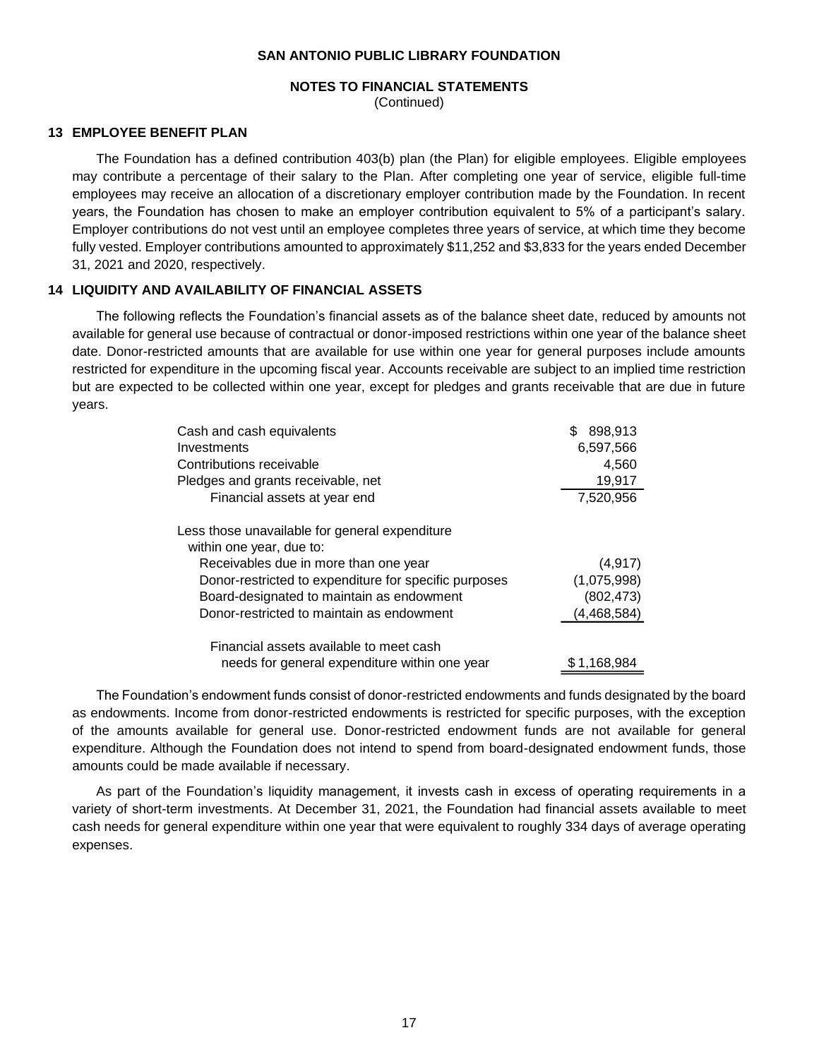## **NOTES TO FINANCIAL STATEMENTS**

(Continued)

## **13 EMPLOYEE BENEFIT PLAN**

The Foundation has a defined contribution 403(b) plan (the Plan) for eligible employees. Eligible employees may contribute a percentage of their salary to the Plan. After completing one year of service, eligible full-time employees may receive an allocation of a discretionary employer contribution made by the Foundation. In recent years, the Foundation has chosen to make an employer contribution equivalent to 5% of a participant's salary. Employer contributions do not vest until an employee completes three years of service, at which time they become fully vested. Employer contributions amounted to approximately \$11,252 and \$3,833 for the years ended December 31, 2021 and 2020, respectively.

## **14 LIQUIDITY AND AVAILABILITY OF FINANCIAL ASSETS**

The following reflects the Foundation's financial assets as of the balance sheet date, reduced by amounts not available for general use because of contractual or donor-imposed restrictions within one year of the balance sheet date. Donor-restricted amounts that are available for use within one year for general purposes include amounts restricted for expenditure in the upcoming fiscal year. Accounts receivable are subject to an implied time restriction but are expected to be collected within one year, except for pledges and grants receivable that are due in future years.

| Cash and cash equivalents                                                  | 898,913     |
|----------------------------------------------------------------------------|-------------|
| Investments                                                                | 6,597,566   |
| Contributions receivable                                                   | 4,560       |
| Pledges and grants receivable, net                                         | 19,917      |
| Financial assets at year end                                               | 7,520,956   |
| Less those unavailable for general expenditure<br>within one year, due to: |             |
| Receivables due in more than one year                                      | (4, 917)    |
| Donor-restricted to expenditure for specific purposes                      | (1,075,998) |
| Board-designated to maintain as endowment                                  | (802, 473)  |
| Donor-restricted to maintain as endowment                                  | (4,468,584) |
| Financial assets available to meet cash                                    |             |
| needs for general expenditure within one year                              | \$1,168,984 |

The Foundation's endowment funds consist of donor-restricted endowments and funds designated by the board as endowments. Income from donor-restricted endowments is restricted for specific purposes, with the exception of the amounts available for general use. Donor-restricted endowment funds are not available for general expenditure. Although the Foundation does not intend to spend from board-designated endowment funds, those amounts could be made available if necessary.

As part of the Foundation's liquidity management, it invests cash in excess of operating requirements in a variety of short-term investments. At December 31, 2021, the Foundation had financial assets available to meet cash needs for general expenditure within one year that were equivalent to roughly 334 days of average operating expenses.